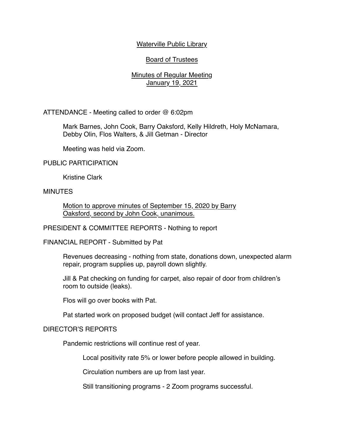## Waterville Public Library

# Board of Trustees

## Minutes of Regular Meeting January 19, 2021

ATTENDANCE - Meeting called to order @ 6:02pm

Mark Barnes, John Cook, Barry Oaksford, Kelly Hildreth, Holy McNamara, Debby Olin, Flos Walters, & Jill Getman - Director

Meeting was held via Zoom.

#### PUBLIC PARTICIPATION

Kristine Clark

### MINUTES

Motion to approve minutes of September 15, 2020 by Barry Oaksford, second by John Cook, unanimous.

PRESIDENT & COMMITTEE REPORTS - Nothing to report

FINANCIAL REPORT - Submitted by Pat

Revenues decreasing - nothing from state, donations down, unexpected alarm repair, program supplies up, payroll down slightly.

Jill & Pat checking on funding for carpet, also repair of door from children's room to outside (leaks).

Flos will go over books with Pat.

Pat started work on proposed budget (will contact Jeff for assistance.

### DIRECTOR'S REPORTS

Pandemic restrictions will continue rest of year.

Local positivity rate 5% or lower before people allowed in building.

Circulation numbers are up from last year.

Still transitioning programs - 2 Zoom programs successful.